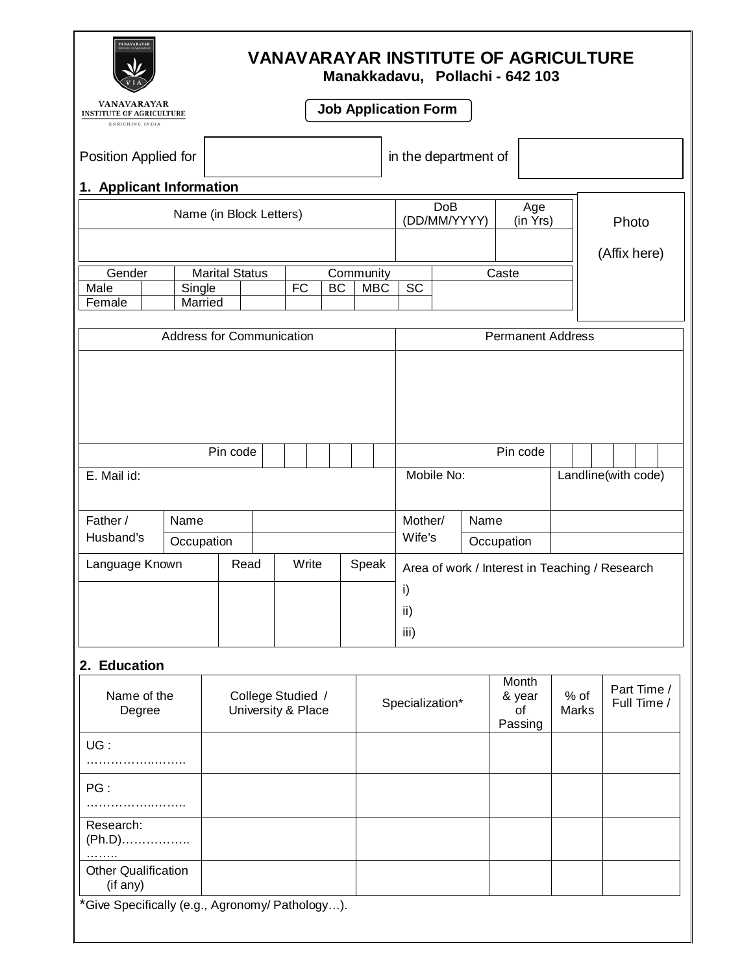| <b>ANAVARAYAE</b><br><b>VANAVARAYAR INSTITUTE OF AGRICULTURE</b><br>Manakkadavu, Pollachi - 642 103 |                                                                                                       |  |                                         |                                                                  |                             |                                                |                      |                                  |                          |                            |
|-----------------------------------------------------------------------------------------------------|-------------------------------------------------------------------------------------------------------|--|-----------------------------------------|------------------------------------------------------------------|-----------------------------|------------------------------------------------|----------------------|----------------------------------|--------------------------|----------------------------|
| VANAVARAYAR<br><b>INSTITUTE OF AGRICULTURE</b><br>ENRICHING INDIA                                   |                                                                                                       |  |                                         |                                                                  |                             | <b>Job Application Form</b>                    |                      |                                  |                          |                            |
| Position Applied for<br>in the department of                                                        |                                                                                                       |  |                                         |                                                                  |                             |                                                |                      |                                  |                          |                            |
| 1. Applicant Information                                                                            | Name (in Block Letters)                                                                               |  |                                         |                                                                  |                             | <b>DoB</b>                                     |                      | Age                              |                          |                            |
|                                                                                                     |                                                                                                       |  |                                         |                                                                  |                             | (DD/MM/YYYY)<br>(in Yrs)                       |                      |                                  |                          | Photo                      |
| Gender<br>Male<br>Female                                                                            | <b>Marital Status</b><br>Community<br>$\overline{FC}$<br><b>BC</b><br><b>MBC</b><br>Single<br>Married |  |                                         | Caste<br>SC                                                      |                             |                                                |                      | (Affix here)                     |                          |                            |
|                                                                                                     | <b>Address for Communication</b>                                                                      |  |                                         |                                                                  |                             |                                                |                      |                                  | <b>Permanent Address</b> |                            |
| Pin code<br>E. Mail id:<br>Father /<br>Name                                                         |                                                                                                       |  |                                         | Pin code<br>Mobile No:<br>Landline(with code)<br>Mother/<br>Name |                             |                                                |                      |                                  |                          |                            |
| Husband's                                                                                           | Occupation                                                                                            |  |                                         |                                                                  |                             |                                                | Wife's<br>Occupation |                                  |                          |                            |
| Write<br>Language Known<br>Read                                                                     |                                                                                                       |  |                                         | Speak                                                            | $\mathsf{i}$<br>ii)<br>iii) | Area of work / Interest in Teaching / Research |                      |                                  |                          |                            |
| 2. Education                                                                                        |                                                                                                       |  |                                         |                                                                  |                             |                                                |                      |                                  |                          |                            |
| Name of the<br>Degree                                                                               |                                                                                                       |  | College Studied /<br>University & Place |                                                                  |                             | Specialization*                                |                      | Month<br>& year<br>οf<br>Passing | $%$ of<br><b>Marks</b>   | Part Time /<br>Full Time / |
| UG:<br>.                                                                                            |                                                                                                       |  |                                         |                                                                  |                             |                                                |                      |                                  |                          |                            |
| PG:<br>.                                                                                            |                                                                                                       |  |                                         |                                                                  |                             |                                                |                      |                                  |                          |                            |
| Research:<br>$(Ph.D)$<br>.                                                                          |                                                                                                       |  |                                         |                                                                  |                             |                                                |                      |                                  |                          |                            |

\*Give Specifically (e.g., Agronomy/ Pathology…).

Other Qualification (if any)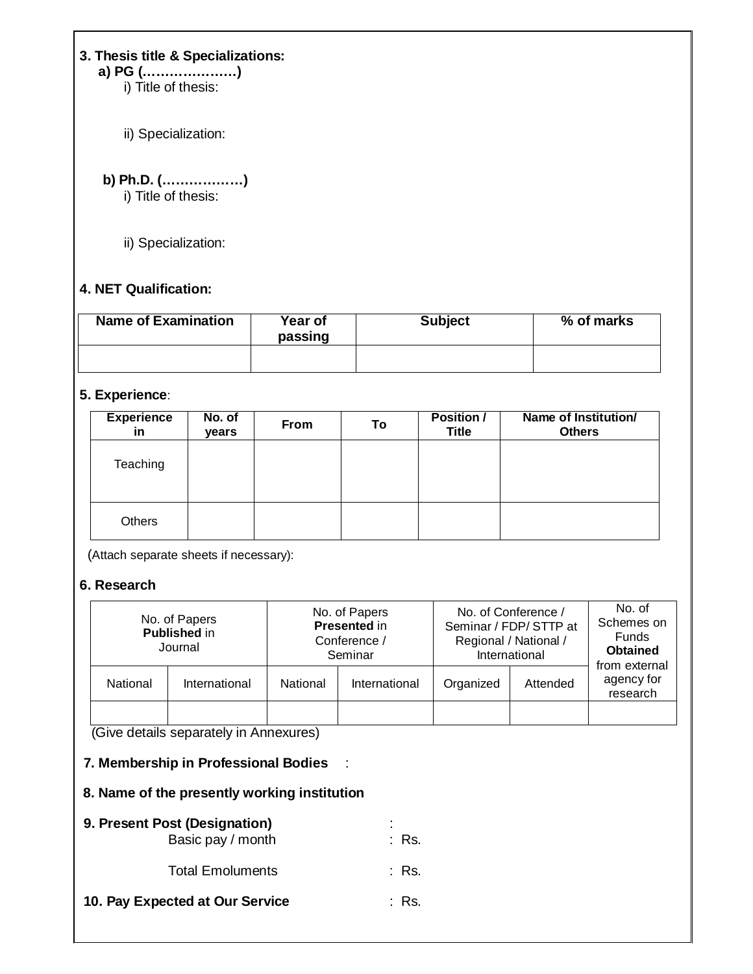**3. Thesis title & Specializations: a) PG (…………………)**

i) Title of thesis:

ii) Specialization:

## **b) Ph.D. (………………)**

i) Title of thesis:

ii) Specialization:

#### **4. NET Qualification:**

| <b>Name of Examination</b> | Year of<br>passing | <b>Subject</b> | % of marks |  |  |
|----------------------------|--------------------|----------------|------------|--|--|
|                            |                    |                |            |  |  |

#### **5. Experience**:

| <b>Experience</b><br>in | No. of<br>years | <b>From</b> | To | Position /<br><b>Title</b> | Name of Institution/<br><b>Others</b> |
|-------------------------|-----------------|-------------|----|----------------------------|---------------------------------------|
| Teaching                |                 |             |    |                            |                                       |
| <b>Others</b>           |                 |             |    |                            |                                       |

(Attach separate sheets if necessary):

#### **6. Research**

|          | No. of Papers<br><b>Published in</b><br>Journal |          | No. of Papers<br><b>Presented in</b><br>Conference /<br>Seminar | No. of Conference /<br>Seminar / FDP/ STTP at<br>Regional / National /<br>International | No. of<br>Schemes on<br>Funds<br><b>Obtained</b> |                                         |  |
|----------|-------------------------------------------------|----------|-----------------------------------------------------------------|-----------------------------------------------------------------------------------------|--------------------------------------------------|-----------------------------------------|--|
| National | International                                   | National | International                                                   | Organized                                                                               | Attended                                         | from external<br>agency for<br>research |  |
|          |                                                 |          |                                                                 |                                                                                         |                                                  |                                         |  |

(Give details separately in Annexures)

#### **7. Membership in Professional Bodies** :

#### **8. Name of the presently working institution**

| 9. Present Post (Designation)<br>Basic pay / month | : Rs.            |
|----------------------------------------------------|------------------|
| <b>Total Emoluments</b>                            | : Rs.            |
| 10. Pay Expected at Our Service                    | $\therefore$ Rs. |